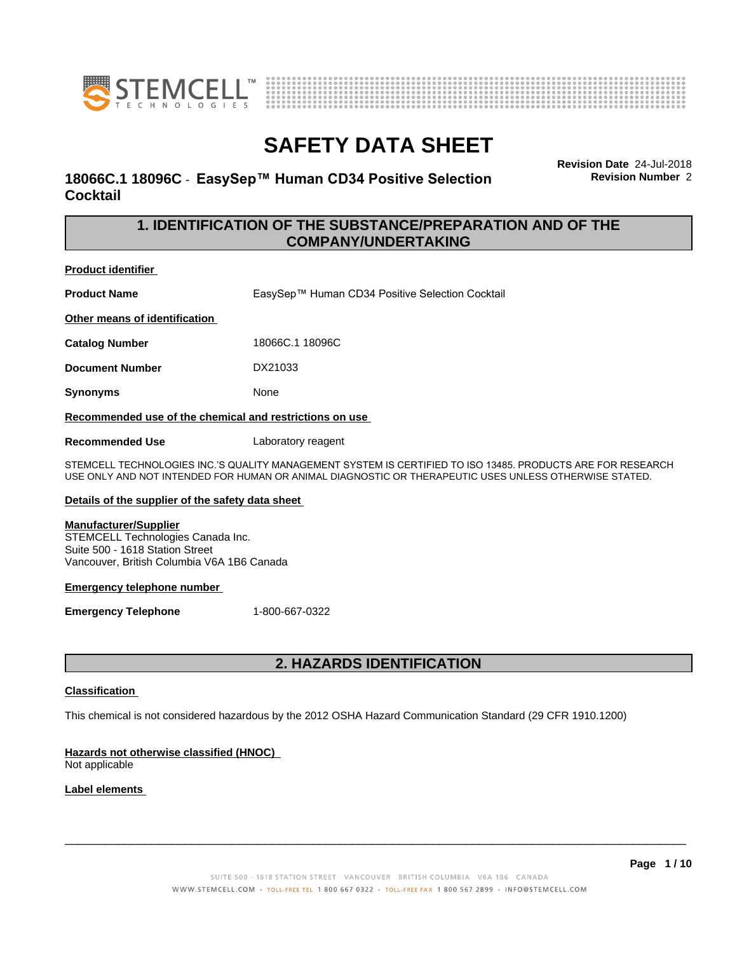



### **18066C.1 18096C - EasySep™ Human CD34 Positive Selection Cocktail**

**Revision Date** 24-Jul-2018 **Revision Number** 2

### **1. IDENTIFICATION OF THE SUBSTANCE/PREPARATION AND OF THE COMPANY/UNDERTAKING**

### **Product identifier**

**Product Name** EasySep™ Human CD34 Positive Selection Cocktail

**Other means of identification**

**Catalog Number** 18066C.1 18096C

**Document Number** DX21033

**Synonyms** None

**Recommended use of the chemical and restrictions on use**

**Recommended Use** Laboratory reagent

STEMCELL TECHNOLOGIES INC.'S QUALITY MANAGEMENT SYSTEM IS CERTIFIED TO ISO 13485. PRODUCTS ARE FOR RESEARCH USE ONLY AND NOT INTENDED FOR HUMAN OR ANIMAL DIAGNOSTIC OR THERAPEUTIC USES UNLESS OTHERWISE STATED.

### **Details of the supplier of the safety data sheet**

#### **Manufacturer/Supplier**

STEMCELL Technologies Canada Inc. Suite 500 - 1618 Station Street Vancouver, British Columbia V6A 1B6 Canada

### **Emergency telephone number**

**Emergency Telephone** 1-800-667-0322

### **2. HAZARDS IDENTIFICATION**

### **Classification**

This chemical is not considered hazardous by the 2012 OSHA Hazard Communication Standard (29 CFR 1910.1200)

### **Hazards not otherwise classified (HNOC)**

Not applicable

### **Label elements**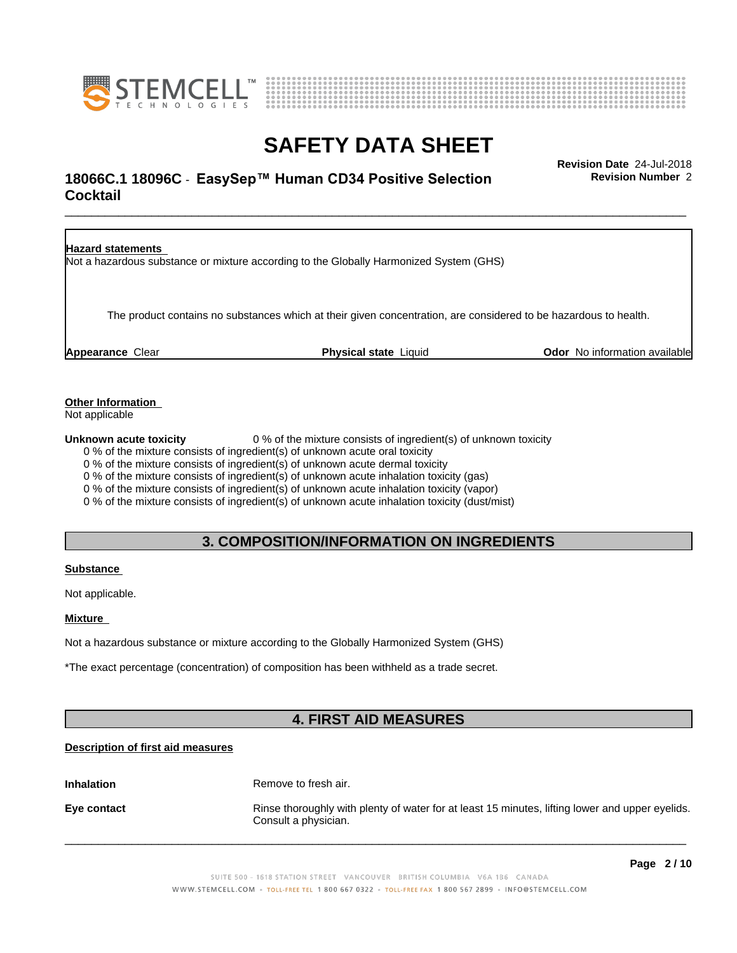



# \_\_\_\_\_\_\_\_\_\_\_\_\_\_\_\_\_\_\_\_\_\_\_\_\_\_\_\_\_\_\_\_\_\_\_\_\_\_\_\_\_\_\_\_\_\_\_\_\_\_\_\_\_\_\_\_\_\_\_\_\_\_\_\_\_\_\_\_\_\_\_\_\_\_\_\_\_\_\_\_\_\_\_\_\_\_\_\_\_\_\_\_\_ **Revision Date** 24-Jul-2018 **18066C.1 18096C - EasySep™ Human CD34 Positive Selection Fundally Revision Number 2 Cocktail**

**Revision Number** 2

**Hazard statements** Not a hazardous substance or mixture according to the Globally Harmonized System (GHS) The product contains no substances which at their given concentration, are considered to be hazardous to health. **Appearance** Clear **Physical state** Liquid **Odor** No information available

**Other Information**

Not applicable

**Unknown acute toxicity** 0 % of the mixture consists of ingredient(s) of unknown toxicity

0 % of the mixture consists of ingredient(s) of unknown acute oral toxicity

0 % of the mixture consists of ingredient(s) of unknown acute dermal toxicity

0 % of the mixture consists of ingredient(s) of unknown acute inhalation toxicity (gas)

0 % of the mixture consists of ingredient(s) of unknown acute inhalation toxicity (vapor)

0 % of the mixture consists of ingredient(s) of unknown acute inhalation toxicity (dust/mist)

### **3. COMPOSITION/INFORMATION ON INGREDIENTS**

### **Substance**

Not applicable.

### **Mixture**

Not a hazardous substance or mixture according to the Globally Harmonized System (GHS)

\*The exact percentage (concentration) of composition has been withheld as a trade secret.

# **4. FIRST AID MEASURES**

### **Description of first aid measures**

**Inhalation** Remove to fresh air.

**Eye contact Rinse thoroughly with plenty of water for at least 15 minutes, lifting lower and upper eyelids.** Consult a physician.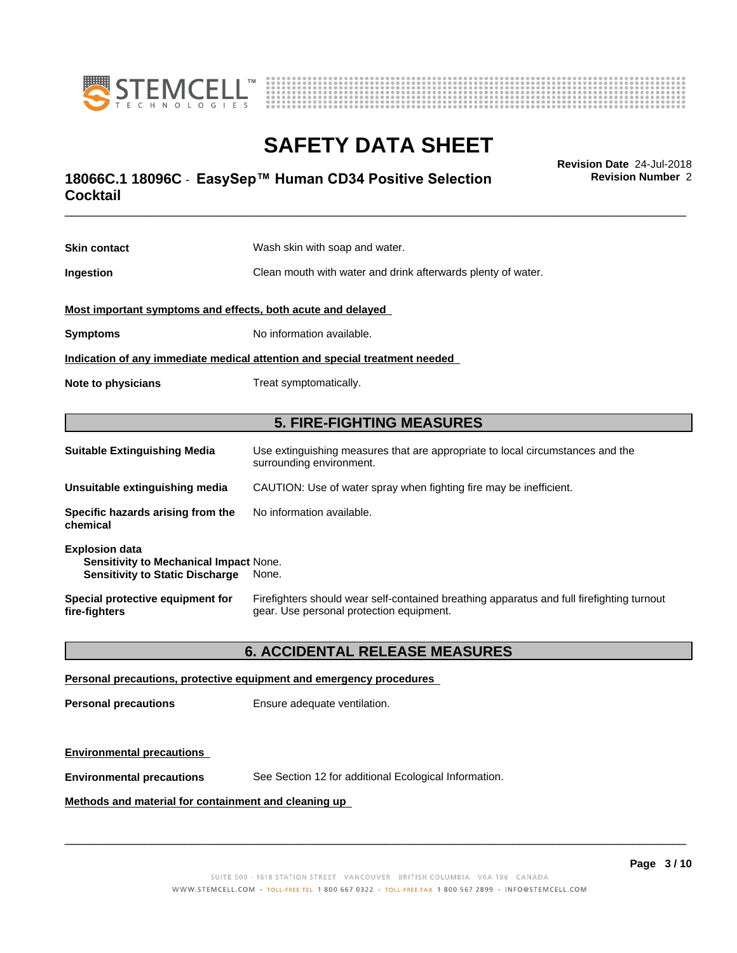



# **SAFETY DATA SHEET**<br>Revision Date 24-Jul-2018

# \_\_\_\_\_\_\_\_\_\_\_\_\_\_\_\_\_\_\_\_\_\_\_\_\_\_\_\_\_\_\_\_\_\_\_\_\_\_\_\_\_\_\_\_\_\_\_\_\_\_\_\_\_\_\_\_\_\_\_\_\_\_\_\_\_\_\_\_\_\_\_\_\_\_\_\_\_\_\_\_\_\_\_\_\_\_\_\_\_\_\_\_\_ **Revision Date** 24-Jul-2018 **18066C.1 18096C - EasySep™ Human CD34 Positive Selection Fundally Revision Number 2 Cocktail**

**Skin contact** Wash skin with soap and water. **Ingestion Clean mouth with water and drink afterwards plenty of water. Most important symptoms and effects, both acute and delayed Symptoms** No information available. **Indication of any immediate medical attention and special treatment needed Note to physicians** Treat symptomatically. **5. FIRE-FIGHTING MEASURES Suitable Extinguishing Media** Use extinguishing measures that are appropriate to local circumstances and the surrounding environment. **Unsuitable extinguishing media** CAUTION: Use of water spray when fighting fire may be inefficient. **Specific hazards arising from the chemical** No information available. **Explosion data Sensitivity to Mechanical Impact** None. **Sensitivity to Static Discharge** None. **Special protective equipment for** Firefighters should wear self-contained breathing apparatus and full firefighting turnout

### **6. ACCIDENTAL RELEASE MEASURES**

gear. Use personal protection equipment.

#### **Personal precautions, protective equipment and emergency procedures**

**Personal precautions** Ensure adequate ventilation.

### **Environmental precautions**

**fire-fighters**

**Environmental precautions** See Section 12 for additional Ecological Information.

### **Methods and material for containment and cleaning up**

 $\overline{\phantom{a}}$  ,  $\overline{\phantom{a}}$  ,  $\overline{\phantom{a}}$  ,  $\overline{\phantom{a}}$  ,  $\overline{\phantom{a}}$  ,  $\overline{\phantom{a}}$  ,  $\overline{\phantom{a}}$  ,  $\overline{\phantom{a}}$  ,  $\overline{\phantom{a}}$  ,  $\overline{\phantom{a}}$  ,  $\overline{\phantom{a}}$  ,  $\overline{\phantom{a}}$  ,  $\overline{\phantom{a}}$  ,  $\overline{\phantom{a}}$  ,  $\overline{\phantom{a}}$  ,  $\overline{\phantom{a}}$ 

**Revision Number** 2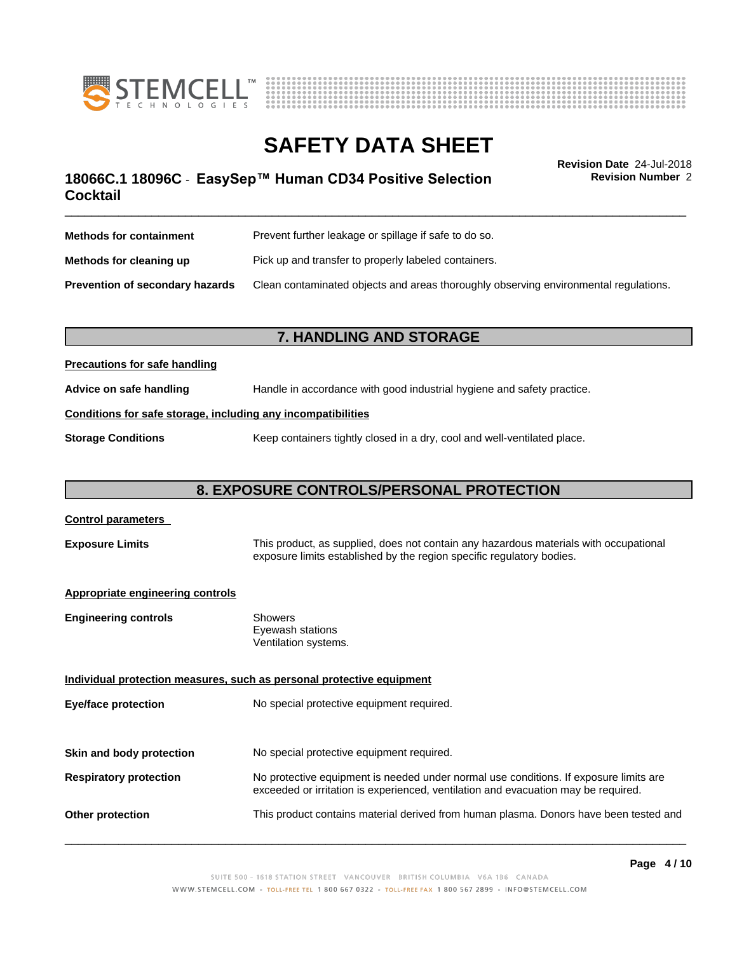



# \_\_\_\_\_\_\_\_\_\_\_\_\_\_\_\_\_\_\_\_\_\_\_\_\_\_\_\_\_\_\_\_\_\_\_\_\_\_\_\_\_\_\_\_\_\_\_\_\_\_\_\_\_\_\_\_\_\_\_\_\_\_\_\_\_\_\_\_\_\_\_\_\_\_\_\_\_\_\_\_\_\_\_\_\_\_\_\_\_\_\_\_\_ **Revision Date** 24-Jul-2018 **18066C.1 18096C - EasySep™ Human CD34 Positive Selection Fundally Revision Number 2 Cocktail**

**Revision Number** 2

| <b>Methods for containment</b>         | Prevent further leakage or spillage if safe to do so.                                |
|----------------------------------------|--------------------------------------------------------------------------------------|
| Methods for cleaning up                | Pick up and transfer to properly labeled containers.                                 |
| <b>Prevention of secondary hazards</b> | Clean contaminated objects and areas thoroughly observing environmental regulations. |

### **7. HANDLING AND STORAGE**

### **Precautions for safe handling**

**Advice on safe handling** Handle in accordance with good industrial hygiene and safety practice.

### **Conditions for safe storage, including any incompatibilities**

**Storage Conditions** Keep containers tightly closed in a dry, cool and well-ventilated place.

# **8. EXPOSURE CONTROLS/PERSONAL PROTECTION**

| <b>Control parameters</b>               |                                                                                                                                                                             |
|-----------------------------------------|-----------------------------------------------------------------------------------------------------------------------------------------------------------------------------|
| <b>Exposure Limits</b>                  | This product, as supplied, does not contain any hazardous materials with occupational<br>exposure limits established by the region specific regulatory bodies.              |
| <b>Appropriate engineering controls</b> |                                                                                                                                                                             |
| <b>Engineering controls</b>             | <b>Showers</b><br>Eyewash stations<br>Ventilation systems.                                                                                                                  |
|                                         | Individual protection measures, such as personal protective equipment                                                                                                       |
| Eye/face protection                     | No special protective equipment required.                                                                                                                                   |
| Skin and body protection                | No special protective equipment required.                                                                                                                                   |
| <b>Respiratory protection</b>           | No protective equipment is needed under normal use conditions. If exposure limits are<br>exceeded or irritation is experienced, ventilation and evacuation may be required. |
| <b>Other protection</b>                 | This product contains material derived from human plasma. Donors have been tested and                                                                                       |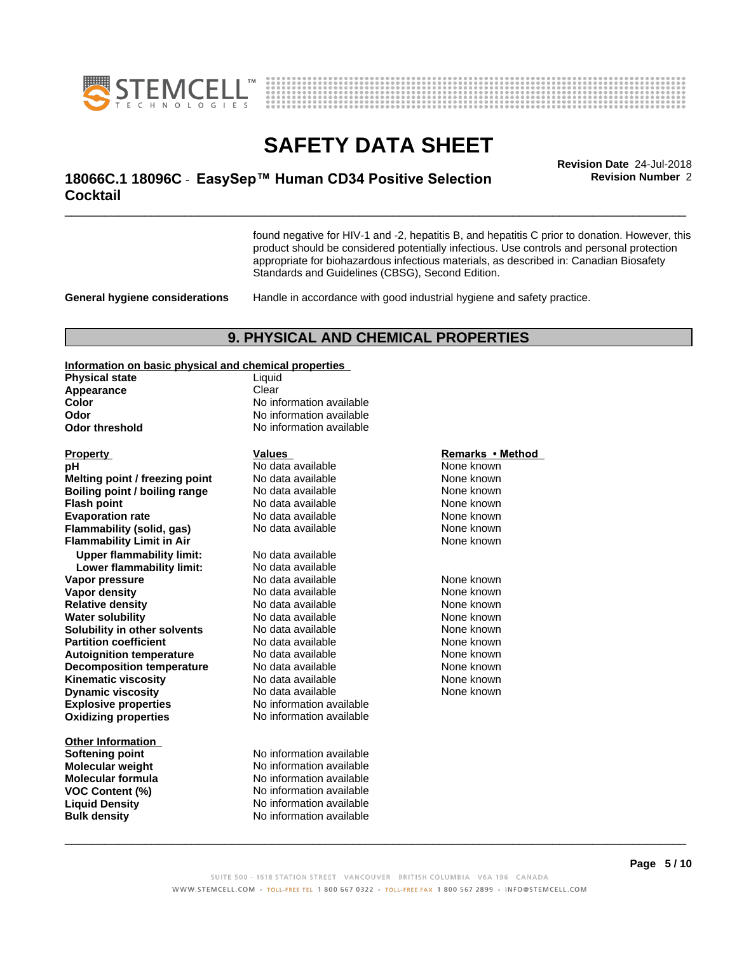



# \_\_\_\_\_\_\_\_\_\_\_\_\_\_\_\_\_\_\_\_\_\_\_\_\_\_\_\_\_\_\_\_\_\_\_\_\_\_\_\_\_\_\_\_\_\_\_\_\_\_\_\_\_\_\_\_\_\_\_\_\_\_\_\_\_\_\_\_\_\_\_\_\_\_\_\_\_\_\_\_\_\_\_\_\_\_\_\_\_\_\_\_\_ **Revision Date** 24-Jul-2018 **18066C.1 18096C - EasySep™ Human CD34 Positive Selection Fundally Revision Number 2 Cocktail**

found negative for HIV-1 and -2, hepatitis B, and hepatitis C prior to donation. However, this product should be considered potentially infectious. Use controls and personal protection appropriate for biohazardous infectious materials, as described in: Canadian Biosafety Standards and Guidelines (CBSG), Second Edition.

**General hygiene considerations** Handle in accordance with good industrial hygiene and safety practice.

### **9. PHYSICAL AND CHEMICAL PROPERTIES**

 $\boldsymbol{\mathsf{operties}}$ 

| information on basic physical and chemical properties |                          |                  |
|-------------------------------------------------------|--------------------------|------------------|
| <b>Physical state</b>                                 | Liquid                   |                  |
| Appearance                                            | Clear                    |                  |
| Color                                                 | No information available |                  |
| Odor                                                  | No information available |                  |
| <b>Odor threshold</b>                                 | No information available |                  |
|                                                       |                          |                  |
| <b>Property</b>                                       | Values                   | Remarks • Method |
| рH                                                    | No data available        | None known       |
| Melting point / freezing point                        | No data available        | None known       |
| Boiling point / boiling range                         | No data available        | None known       |
| <b>Flash point</b>                                    | No data available        | None known       |
| <b>Evaporation rate</b>                               | No data available        | None known       |
| Flammability (solid, gas)                             | No data available        | None known       |
| <b>Flammability Limit in Air</b>                      |                          | None known       |
| <b>Upper flammability limit:</b>                      | No data available        |                  |
| Lower flammability limit:                             | No data available        |                  |
| Vapor pressure                                        | No data available        | None known       |
| <b>Vapor density</b>                                  | No data available        | None known       |
| <b>Relative density</b>                               | No data available        | None known       |
| <b>Water solubility</b>                               | No data available        | None known       |
| Solubility in other solvents                          | No data available        | None known       |
| <b>Partition coefficient</b>                          | No data available        | None known       |
| <b>Autoignition temperature</b>                       | No data available        | None known       |
| <b>Decomposition temperature</b>                      | No data available        | None known       |
| <b>Kinematic viscosity</b>                            | No data available        | None known       |
| <b>Dynamic viscosity</b>                              | No data available        | None known       |
| <b>Explosive properties</b>                           | No information available |                  |
| <b>Oxidizing properties</b>                           | No information available |                  |
|                                                       |                          |                  |
| <b>Other Information</b>                              |                          |                  |

**Softening point** No information available **Molecular weight** No information available **Molecular formula No information available**<br>**VOC Content (%)** No information available **VOC Content (%)** No information available **Liquid Density** No information available **Bulk density** No information available

#### **Remarks** • Method

 $\overline{\phantom{a}}$  ,  $\overline{\phantom{a}}$  ,  $\overline{\phantom{a}}$  ,  $\overline{\phantom{a}}$  ,  $\overline{\phantom{a}}$  ,  $\overline{\phantom{a}}$  ,  $\overline{\phantom{a}}$  ,  $\overline{\phantom{a}}$  ,  $\overline{\phantom{a}}$  ,  $\overline{\phantom{a}}$  ,  $\overline{\phantom{a}}$  ,  $\overline{\phantom{a}}$  ,  $\overline{\phantom{a}}$  ,  $\overline{\phantom{a}}$  ,  $\overline{\phantom{a}}$  ,  $\overline{\phantom{a}}$ 

**Revision Number** 2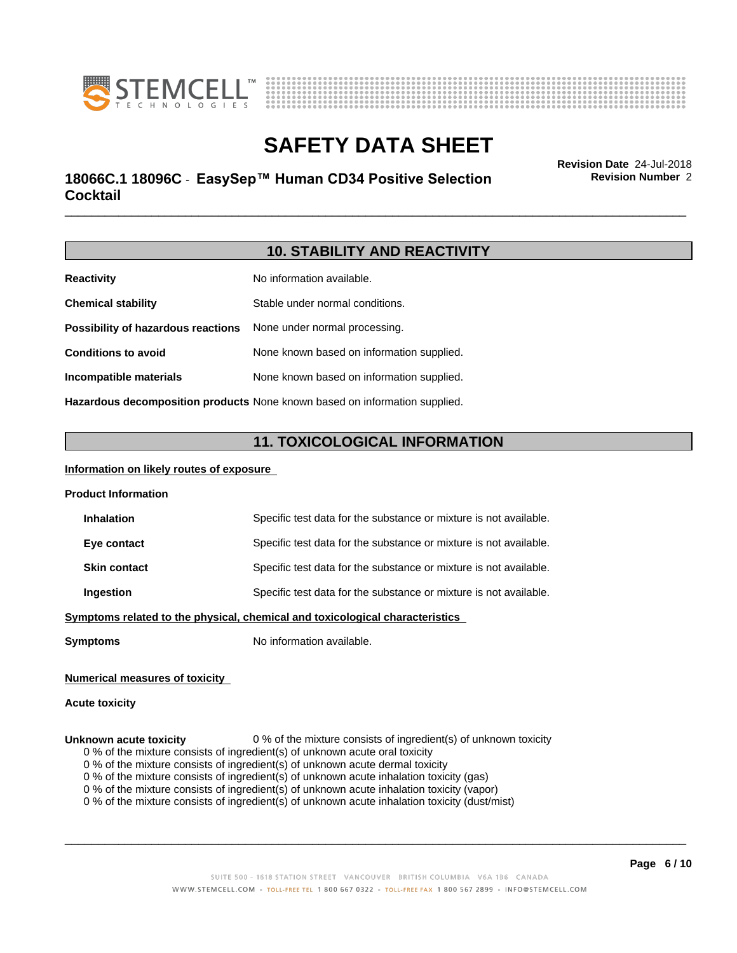



# \_\_\_\_\_\_\_\_\_\_\_\_\_\_\_\_\_\_\_\_\_\_\_\_\_\_\_\_\_\_\_\_\_\_\_\_\_\_\_\_\_\_\_\_\_\_\_\_\_\_\_\_\_\_\_\_\_\_\_\_\_\_\_\_\_\_\_\_\_\_\_\_\_\_\_\_\_\_\_\_\_\_\_\_\_\_\_\_\_\_\_\_\_ **Revision Date** 24-Jul-2018 **18066C.1 18096C - EasySep™ Human CD34 Positive Selection Fundally Revision Number 2 Cocktail**

**Revision Number** 2

### **10. STABILITY AND REACTIVITY**

| <b>Reactivity</b>                  | No information available.                 |
|------------------------------------|-------------------------------------------|
| <b>Chemical stability</b>          | Stable under normal conditions.           |
| Possibility of hazardous reactions | None under normal processing.             |
| <b>Conditions to avoid</b>         | None known based on information supplied. |
| Incompatible materials             | None known based on information supplied. |
|                                    |                                           |

**Hazardous decomposition products** None known based on information supplied.

### **11. TOXICOLOGICAL INFORMATION**

### **Information on likely routes of exposure**

| <b>Product Information</b> |  |
|----------------------------|--|
|----------------------------|--|

| <b>Inhalation</b>   | Specific test data for the substance or mixture is not available.           |
|---------------------|-----------------------------------------------------------------------------|
| Eye contact         | Specific test data for the substance or mixture is not available.           |
| <b>Skin contact</b> | Specific test data for the substance or mixture is not available.           |
| Ingestion           | Specific test data for the substance or mixture is not available.           |
|                     | mutama salatad ta tha nkusiaal, akamiaal and taylaalagiaal akasaatasiatiga. |

**<u>Symptoms related to the physical, chemical and toxicological characteristics</u>** 

**Symptoms** No information available.

### **Numerical measures of toxicity**

#### **Acute toxicity**

- **Unknown acute toxicity** 0 % of the mixture consists of ingredient(s) of unknown toxicity
	- 0 % of the mixture consists of ingredient(s) of unknown acute oral toxicity
	- $0$  % of the mixture consists of ingredient(s) of unknown acute dermal toxicity

0 % of the mixture consists of ingredient(s) of unknown acute inhalation toxicity (gas)

0 % of the mixture consists of ingredient(s) of unknown acute inhalation toxicity (vapor)

0 % of the mixture consists of ingredient(s) of unknown acute inhalation toxicity (dust/mist)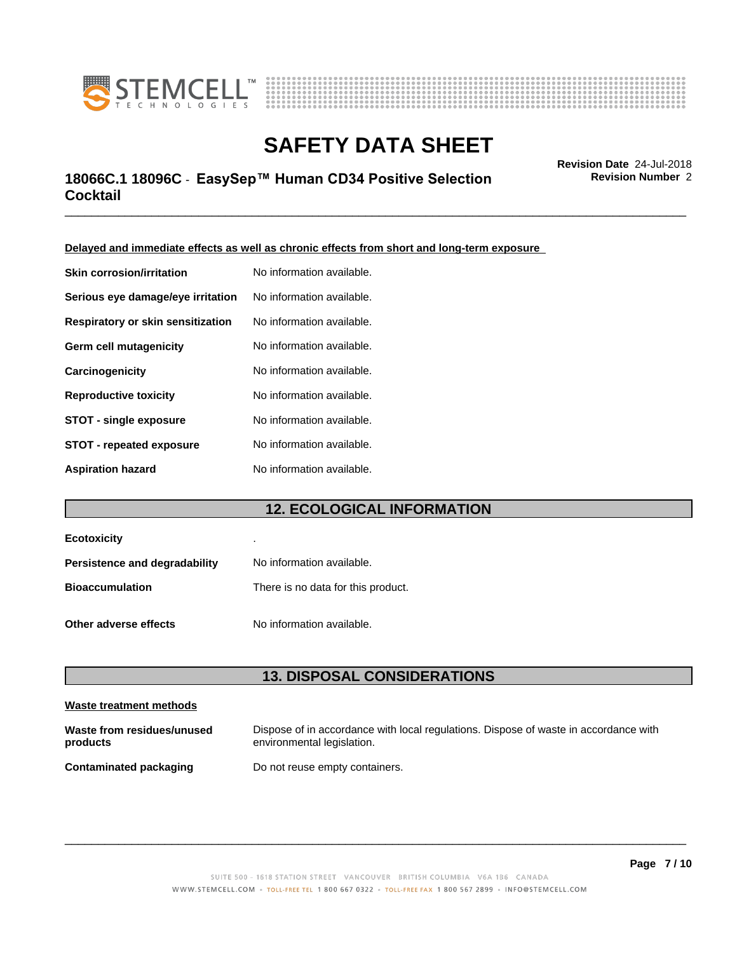



# \_\_\_\_\_\_\_\_\_\_\_\_\_\_\_\_\_\_\_\_\_\_\_\_\_\_\_\_\_\_\_\_\_\_\_\_\_\_\_\_\_\_\_\_\_\_\_\_\_\_\_\_\_\_\_\_\_\_\_\_\_\_\_\_\_\_\_\_\_\_\_\_\_\_\_\_\_\_\_\_\_\_\_\_\_\_\_\_\_\_\_\_\_ **Revision Date** 24-Jul-2018 **18066C.1 18096C - EasySep™ Human CD34 Positive Selection Fundally Revision Number 2 Cocktail**

**Revision Number** 2

**Delayed and immediate effects as well as chronic effects from short and long-term exposure**

| <b>Skin corrosion/irritation</b>  | No information available. |
|-----------------------------------|---------------------------|
| Serious eye damage/eye irritation | No information available. |
| Respiratory or skin sensitization | No information available. |
| Germ cell mutagenicity            | No information available. |
| Carcinogenicity                   | No information available. |
| <b>Reproductive toxicity</b>      | No information available. |
| <b>STOT - single exposure</b>     | No information available. |
| <b>STOT - repeated exposure</b>   | No information available. |
| <b>Aspiration hazard</b>          | No information available. |

# **12. ECOLOGICAL INFORMATION**

| <b>Ecotoxicity</b>                   | ٠                                  |
|--------------------------------------|------------------------------------|
| <b>Persistence and degradability</b> | No information available.          |
| <b>Bioaccumulation</b>               | There is no data for this product. |
| Other adverse effects                | No information available.          |

### **13. DISPOSAL CONSIDERATIONS**

| Waste treatment methods                |                                                                                                                    |
|----------------------------------------|--------------------------------------------------------------------------------------------------------------------|
| Waste from residues/unused<br>products | Dispose of in accordance with local regulations. Dispose of waste in accordance with<br>environmental legislation. |
| <b>Contaminated packaging</b>          | Do not reuse empty containers.                                                                                     |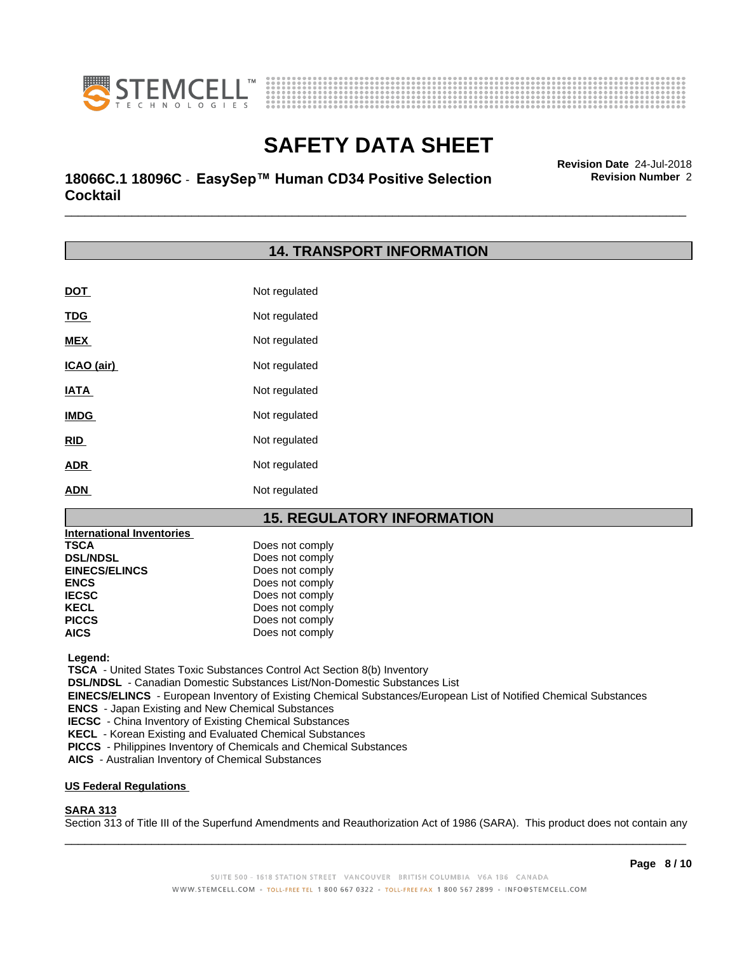



# \_\_\_\_\_\_\_\_\_\_\_\_\_\_\_\_\_\_\_\_\_\_\_\_\_\_\_\_\_\_\_\_\_\_\_\_\_\_\_\_\_\_\_\_\_\_\_\_\_\_\_\_\_\_\_\_\_\_\_\_\_\_\_\_\_\_\_\_\_\_\_\_\_\_\_\_\_\_\_\_\_\_\_\_\_\_\_\_\_\_\_\_\_ **Revision Date** 24-Jul-2018 **18066C.1 18096C - EasySep™ Human CD34 Positive Selection Fundally Revision Number 2 Cocktail**

# **14. TRANSPORT INFORMATION**

| <b>DOT</b>  | Not regulated |
|-------------|---------------|
| <b>TDG</b>  | Not regulated |
| <b>MEX</b>  | Not regulated |
| ICAO (air)  | Not regulated |
| <b>IATA</b> | Not regulated |
| <b>IMDG</b> | Not regulated |
| <b>RID</b>  | Not regulated |
| <b>ADR</b>  | Not regulated |
| <b>ADN</b>  | Not regulated |

### **15. REGULATORY INFORMATION**

| <b>International Inventories</b> |                 |
|----------------------------------|-----------------|
| <b>TSCA</b>                      | Does not comply |
| <b>DSL/NDSL</b>                  | Does not comply |
| <b>EINECS/ELINCS</b>             | Does not comply |
| <b>ENCS</b>                      | Does not comply |
| <b>IECSC</b>                     | Does not comply |
| <b>KECL</b>                      | Does not comply |
| <b>PICCS</b>                     | Does not comply |
| <b>AICS</b>                      | Does not comply |

 **Legend:**

 **TSCA** - United States Toxic Substances Control Act Section 8(b) Inventory

 **DSL/NDSL** - Canadian Domestic Substances List/Non-Domestic Substances List

 **EINECS/ELINCS** - European Inventory of Existing Chemical Substances/European List of Notified Chemical Substances

 **ENCS** - Japan Existing and New Chemical Substances

 **IECSC** - China Inventory of Existing Chemical Substances

 **KECL** - Korean Existing and Evaluated Chemical Substances

 **PICCS** - Philippines Inventory of Chemicals and Chemical Substances

 **AICS** - Australian Inventory of Chemical Substances

### **US Federal Regulations**

#### **SARA 313**

Section 313 of Title III of the Superfund Amendments and Reauthorization Act of 1986 (SARA). This product does not contain any

 $\overline{\phantom{a}}$  ,  $\overline{\phantom{a}}$  ,  $\overline{\phantom{a}}$  ,  $\overline{\phantom{a}}$  ,  $\overline{\phantom{a}}$  ,  $\overline{\phantom{a}}$  ,  $\overline{\phantom{a}}$  ,  $\overline{\phantom{a}}$  ,  $\overline{\phantom{a}}$  ,  $\overline{\phantom{a}}$  ,  $\overline{\phantom{a}}$  ,  $\overline{\phantom{a}}$  ,  $\overline{\phantom{a}}$  ,  $\overline{\phantom{a}}$  ,  $\overline{\phantom{a}}$  ,  $\overline{\phantom{a}}$ 

**Revision Number** 2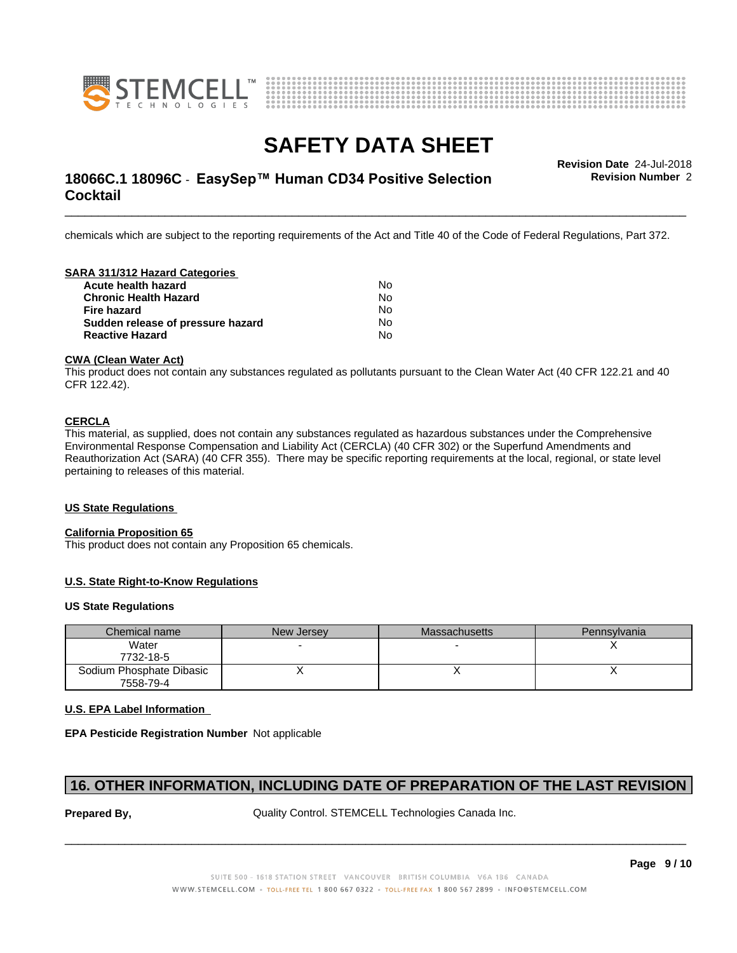



# **SAFETY DATA SHEET**<br>Revision Date 24-Jul-2018

# \_\_\_\_\_\_\_\_\_\_\_\_\_\_\_\_\_\_\_\_\_\_\_\_\_\_\_\_\_\_\_\_\_\_\_\_\_\_\_\_\_\_\_\_\_\_\_\_\_\_\_\_\_\_\_\_\_\_\_\_\_\_\_\_\_\_\_\_\_\_\_\_\_\_\_\_\_\_\_\_\_\_\_\_\_\_\_\_\_\_\_\_\_ **Revision Date** 24-Jul-2018 **18066C.1 18096C - EasySep™ Human CD34 Positive Selection Fundally Revision Number 2 Cocktail**

**Revision Number** 2

chemicals which are subject to the reporting requirements of the Act and Title 40 of the Code of Federal Regulations, Part 372.

### **SARA 311/312 Hazard Categories**

| Nο  |  |
|-----|--|
| No. |  |
| N∩  |  |
| No. |  |
| N٥  |  |
|     |  |

#### **CWA** (Clean Water Act)

This product does not contain any substances regulated as pollutants pursuant to the Clean Water Act (40 CFR 122.21 and 40 CFR 122.42).

### **CERCLA**

This material, as supplied, does not contain any substances regulated as hazardous substances under the Comprehensive Environmental Response Compensation and Liability Act (CERCLA) (40 CFR 302) or the Superfund Amendments and Reauthorization Act (SARA) (40 CFR 355). There may be specific reporting requirements at the local, regional, or state level pertaining to releases of this material.

#### **US State Regulations**

#### **California Proposition 65**

This product does not contain any Proposition 65 chemicals.

### **U.S. State Right-to-Know Regulations**

#### **US State Regulations**

| Chemical name            | New Jersey | <b>Massachusetts</b> | <b>Pennsylvania</b> |
|--------------------------|------------|----------------------|---------------------|
| Water                    |            |                      |                     |
| 7732-18-5                |            |                      |                     |
| Sodium Phosphate Dibasic |            | ,,                   |                     |
| 7558-79-4                |            |                      |                     |

### **U.S. EPA Label Information**

**EPA Pesticide Registration Number** Notapplicable

### **16. OTHER INFORMATION, INCLUDING DATE OF PREPARATION OF THE LAST REVISION**

**Prepared By, State Control. STEMCELL Technologies Canada Inc.** Canada Inc.